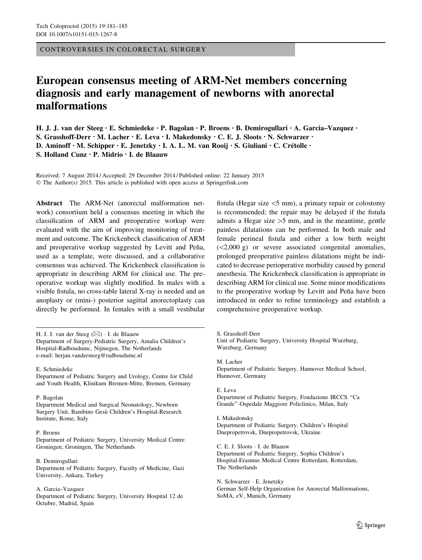CONTROVERSIES IN COLORECTAL SURGERY

# European consensus meeting of ARM-Net members concerning diagnosis and early management of newborns with anorectal malformations

H. J. J. van der Steeg • E. Schmiedeke • P. Bagolan • P. Broens • B. Demirogullari • A. Garcia–Vazquez • S. Grasshoff-Derr • M. Lacher • E. Leva • I. Makedonsky • C. E. J. Sloots • N. Schwarzer •

D. Aminoff • M. Schipper • E. Jenetzky • I. A. L. M. van Rooij • S. Giuliani • C. Crétolle •

S. Holland Cunz • P. Midrio • I. de Blaauw

Received: 7 August 2014 / Accepted: 29 December 2014 / Published online: 22 January 2015 © The Author(s) 2015. This article is published with open access at Springerlink.com

Abstract The ARM-Net (anorectal malformation network) consortium held a consensus meeting in which the classification of ARM and preoperative workup were evaluated with the aim of improving monitoring of treatment and outcome. The Krickenbeck classification of ARM and preoperative workup suggested by Levitt and Peña, used as a template, were discussed, and a collaborative consensus was achieved. The Krickenbeck classification is appropriate in describing ARM for clinical use. The preoperative workup was slightly modified. In males with a visible fistula, no cross-table lateral X-ray is needed and an anoplasty or (mini-) posterior sagittal anorectoplasty can directly be performed. In females with a small vestibular

H. J. J. van der Steeg (⊠) · I. de Blaauw Department of Surgery-Pediatric Surgery, Amalia Children's Hospital-Radboudumc, Nijmegen, The Netherlands e-mail: herjan.vandersteeg@radboudumc.nl

## E. Schmiedeke

Department of Pediatric Surgery and Urology, Centre for Child and Youth Health, Klinikum Bremen-Mitte, Bremen, Germany

### P. Bagolan

Department Medical and Surgical Neonatology, Newborn Surgery Unit, Bambino Gesù Children's Hospital-Research Institute, Rome, Italy

#### P. Broens

Department of Pediatric Surgery, University Medical Centre Groningen, Groningen, The Netherlands

B. Demirogullari

Department of Pediatric Surgery, Faculty of Medicine, Gazi University, Ankara, Turkey

### A. Garcia–Vazquez

Department of Pediatric Surgery, University Hospital 12 de Octubre, Madrid, Spain

fistula (Hegar size  $\leq$ 5 mm), a primary repair or colostomy is recommended; the repair may be delayed if the fistula admits a Hegar size  $>5$  mm, and in the meantime, gentle painless dilatations can be performed. In both male and female perineal fistula and either a low birth weight  $(<2,000 \text{ g})$  or severe associated congenital anomalies, prolonged preoperative painless dilatations might be indicated to decrease perioperative morbidity caused by general anesthesia. The Krickenbeck classification is appropriate in describing ARM for clinical use. Some minor modifications to the preoperative workup by Levitt and Peña have been introduced in order to refine terminology and establish a comprehensive preoperative workup.

S. Grasshoff-Derr

Unit of Pediatric Surgery, University Hospital Wurzburg, Wurzburg, Germany

M. Lacher Department of Pediatric Surgery, Hannover Medical School, Hannover, Germany

E. Leva Department of Pediatric Surgery, Fondazione IRCCS ''Ca Grande''-Ospedale Maggiore Policlinico, Milan, Italy

I. Makedonsky Department of Pediatric Surgery, Children's Hospital Dnepropetrovsk, Dnepropetrovsk, Ukraine

C. E. J. Sloots - I. de Blaauw Department of Pediatric Surgery, Sophia Children's Hospital-Erasmus Medical Centre Rotterdam, Rotterdam, The Netherlands

N. Schwarzer - E. Jenetzky German Self-Help Organization for Anorectal Malformations, SoMA, eV, Munich, Germany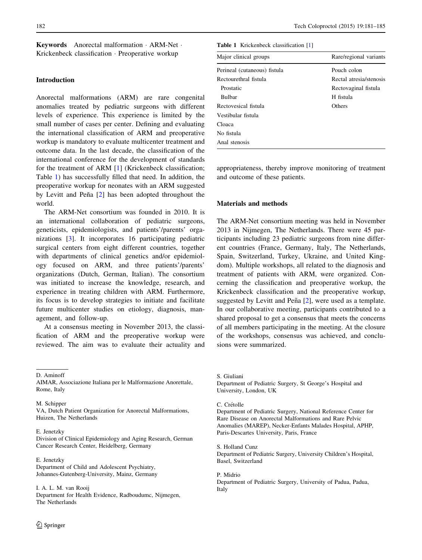Keywords Anorectal malformation - ARM-Net - Krickenbeck classification - Preoperative workup

## Introduction

Anorectal malformations (ARM) are rare congenital anomalies treated by pediatric surgeons with different levels of experience. This experience is limited by the small number of cases per center. Defining and evaluating the international classification of ARM and preoperative workup is mandatory to evaluate multicenter treatment and outcome data. In the last decade, the classification of the international conference for the development of standards for the treatment of ARM [\[1](#page-4-0)] (Krickenbeck classification; Table 1) has successfully filled that need. In addition, the preoperative workup for neonates with an ARM suggested by Levitt and Peña  $[2]$  $[2]$  has been adopted throughout the world.

The ARM-Net consortium was founded in 2010. It is an international collaboration of pediatric surgeons, geneticists, epidemiologists, and patients'/parents' organizations [[3\]](#page-4-0). It incorporates 16 participating pediatric surgical centers from eight different countries, together with departments of clinical genetics and/or epidemiology focused on ARM, and three patients'/parents' organizations (Dutch, German, Italian). The consortium was initiated to increase the knowledge, research, and experience in treating children with ARM. Furthermore, its focus is to develop strategies to initiate and facilitate future multicenter studies on etiology, diagnosis, management, and follow-up.

At a consensus meeting in November 2013, the classification of ARM and the preoperative workup were reviewed. The aim was to evaluate their actuality and

D. Aminoff

M. Schinner VA, Dutch Patient Organization for Anorectal Malformations, Huizen, The Netherlands

#### E. Jenetzky

Division of Clinical Epidemiology and Aging Research, German Cancer Research Center, Heidelberg, Germany

E. Jenetzky Department of Child and Adolescent Psychiatry, Johannes-Gutenberg-University, Mainz, Germany

I. A. L. M. van Rooij Department for Health Evidence, Radboudumc, Nijmegen, The Netherlands

Table 1 Krickenbeck classification [\[1](#page-4-0)]

| Major clinical groups        | Rare/regional variants  |
|------------------------------|-------------------------|
| Perineal (cutaneous) fistula | Pouch colon             |
| Rectourethral fistula        | Rectal atresia/stenosis |
| Prostatic                    | Rectovaginal fistula    |
| <b>Bulbar</b>                | H fistula               |
| Rectovesical fistula         | Others                  |
| Vestibular fistula           |                         |
| Cloaca                       |                         |
| No fistula                   |                         |
| Anal stenosis                |                         |

appropriateness, thereby improve monitoring of treatment and outcome of these patients.

## Materials and methods

The ARM-Net consortium meeting was held in November 2013 in Nijmegen, The Netherlands. There were 45 participants including 23 pediatric surgeons from nine different countries (France, Germany, Italy, The Netherlands, Spain, Switzerland, Turkey, Ukraine, and United Kingdom). Multiple workshops, all related to the diagnosis and treatment of patients with ARM, were organized. Concerning the classification and preoperative workup, the Krickenbeck classification and the preoperative workup, suggested by Levitt and Peña [\[2](#page-4-0)], were used as a template. In our collaborative meeting, participants contributed to a shared proposal to get a consensus that meets the concerns of all members participating in the meeting. At the closure of the workshops, consensus was achieved, and conclusions were summarized.

S. Giuliani

Department of Pediatric Surgery, St George's Hospital and University, London, UK

C. Crétolle

Department of Pediatric Surgery, National Reference Center for Rare Disease on Anorectal Malformations and Rare Pelvic Anomalies (MAREP), Necker-Enfants Malades Hospital, APHP, Paris-Descartes University, Paris, France

S. Holland Cunz

Department of Pediatric Surgery, University Children's Hospital, Basel, Switzerland

P. Midrio Department of Pediatric Surgery, University of Padua, Padua, Italy

AIMAR, Associazione Italiana per le Malformazione Anorettale, Rome, Italy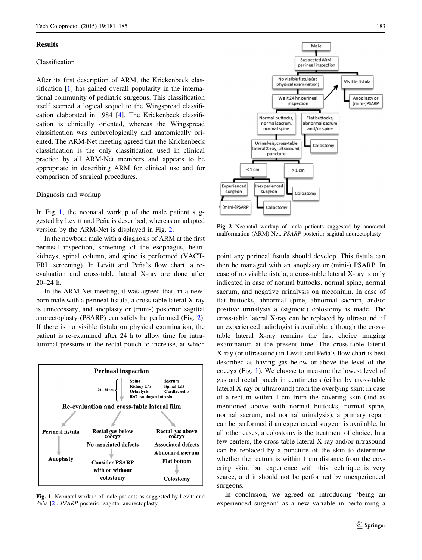### Results

# Classification

After its first description of ARM, the Krickenbeck classification [[1\]](#page-4-0) has gained overall popularity in the international community of pediatric surgeons. This classification itself seemed a logical sequel to the Wingspread classification elaborated in 1984 [[4\]](#page-4-0). The Krickenbeck classification is clinically oriented, whereas the Wingspread classification was embryologically and anatomically oriented. The ARM-Net meeting agreed that the Krickenbeck classification is the only classification used in clinical practice by all ARM-Net members and appears to be appropriate in describing ARM for clinical use and for comparison of surgical procedures.

## Diagnosis and workup

In Fig. 1, the neonatal workup of the male patient suggested by Levitt and Peña is described, whereas an adapted version by the ARM-Net is displayed in Fig. 2.

In the newborn male with a diagnosis of ARM at the first perineal inspection, screening of the esophagus, heart, kidneys, spinal column, and spine is performed (VACT-ERL screening). In Levitt and Peña's flow chart, a reevaluation and cross-table lateral X-ray are done after 20–24 h.

In the ARM-Net meeting, it was agreed that, in a newborn male with a perineal fistula, a cross-table lateral X-ray is unnecessary, and anoplasty or (mini-) posterior sagittal anorectoplasty (PSARP) can safely be performed (Fig. 2). If there is no visible fistula on physical examination, the patient is re-examined after 24 h to allow time for intraluminal pressure in the rectal pouch to increase, at which



Fig. 1 Neonatal workup of male patients as suggested by Levitt and Peña [\[2](#page-4-0)]. *PSARP* posterior sagittal anorectoplasty



Fig. 2 Neonatal workup of male patients suggested by anorectal malformation (ARM)-Net. PSARP posterior sagittal anorectoplasty

point any perineal fistula should develop. This fistula can then be managed with an anoplasty or (mini-) PSARP. In case of no visible fistula, a cross-table lateral X-ray is only indicated in case of normal buttocks, normal spine, normal sacrum, and negative urinalysis on meconium. In case of flat buttocks, abnormal spine, abnormal sacrum, and/or positive urinalysis a (sigmoid) colostomy is made. The cross-table lateral X-ray can be replaced by ultrasound, if an experienced radiologist is available, although the crosstable lateral X-ray remains the first choice imaging examination at the present time. The cross-table lateral X-ray (or ultrasound) in Levitt and Peña's flow chart is best described as having gas below or above the level of the coccyx (Fig. 1). We choose to measure the lowest level of gas and rectal pouch in centimeters (either by cross-table lateral X-ray or ultrasound) from the overlying skin; in case of a rectum within 1 cm from the covering skin (and as mentioned above with normal buttocks, normal spine, normal sacrum, and normal urinalysis), a primary repair can be performed if an experienced surgeon is available. In all other cases, a colostomy is the treatment of choice. In a few centers, the cross-table lateral X-ray and/or ultrasound can be replaced by a puncture of the skin to determine whether the rectum is within 1 cm distance from the covering skin, but experience with this technique is very scarce, and it should not be performed by unexperienced surgeons.

In conclusion, we agreed on introducing 'being an experienced surgeon' as a new variable in performing a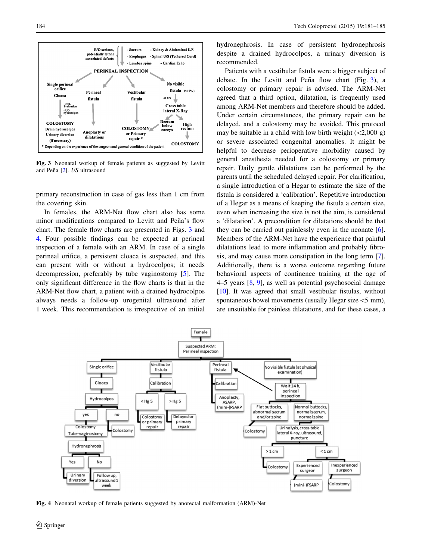<span id="page-3-0"></span>

Fig. 3 Neonatal workup of female patients as suggested by Levitt and Peña [\[2](#page-4-0)]. US ultrasound

primary reconstruction in case of gas less than 1 cm from the covering skin.

In females, the ARM-Net flow chart also has some minor modifications compared to Levitt and Peña's flow chart. The female flow charts are presented in Figs. 3 and 4. Four possible findings can be expected at perineal inspection of a female with an ARM. In case of a single perineal orifice, a persistent cloaca is suspected, and this can present with or without a hydrocolpos; it needs decompression, preferably by tube vaginostomy [\[5](#page-4-0)]. The only significant difference in the flow charts is that in the ARM-Net flow chart, a patient with a drained hydrocolpos always needs a follow-up urogenital ultrasound after 1 week. This recommendation is irrespective of an initial

hydronephrosis. In case of persistent hydronephrosis despite a drained hydrocolpos, a urinary diversion is recommended.

Patients with a vestibular fistula were a bigger subject of debate. In the Levitt and Peña flow chart (Fig.  $3$ ), a colostomy or primary repair is advised. The ARM-Net agreed that a third option, dilatation, is frequently used among ARM-Net members and therefore should be added. Under certain circumstances, the primary repair can be delayed, and a colostomy may be avoided. This protocol may be suitable in a child with low birth weight  $(<2,000 g)$ or severe associated congenital anomalies. It might be helpful to decrease perioperative morbidity caused by general anesthesia needed for a colostomy or primary repair. Daily gentle dilatations can be performed by the parents until the scheduled delayed repair. For clarification, a single introduction of a Hegar to estimate the size of the fistula is considered a 'calibration'. Repetitive introduction of a Hegar as a means of keeping the fistula a certain size, even when increasing the size is not the aim, is considered a 'dilatation'. A precondition for dilatations should be that they can be carried out painlessly even in the neonate [\[6](#page-4-0)]. Members of the ARM-Net have the experience that painful dilatations lead to more inflammation and probably fibrosis, and may cause more constipation in the long term [\[7](#page-4-0)]. Additionally, there is a worse outcome regarding future behavioral aspects of continence training at the age of 4–5 years [[8,](#page-4-0) [9\]](#page-4-0), as well as potential psychosocial damage [\[10](#page-4-0)]. It was agreed that small vestibular fistulas, without spontaneous bowel movements (usually Hegar size  $\leq$ 5 mm), are unsuitable for painless dilatations, and for these cases, a



Fig. 4 Neonatal workup of female patients suggested by anorectal malformation (ARM)-Net